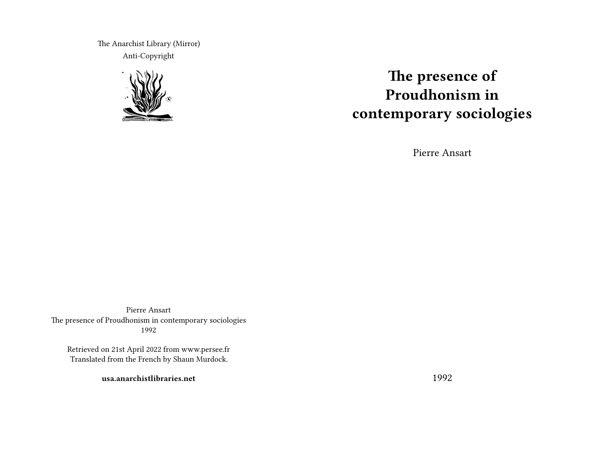The Anarchist Library (Mirror) Anti-Copyright



# **The presence of Proudhonism in contemporary sociologies**

Pierre Ansart

Pierre Ansart The presence of Proudhonism in contemporary sociologies 1992

Retrieved on 21st April 2022 from www.persee.fr Translated from the French by Shaun Murdock.

**usa.anarchistlibraries.net**

1992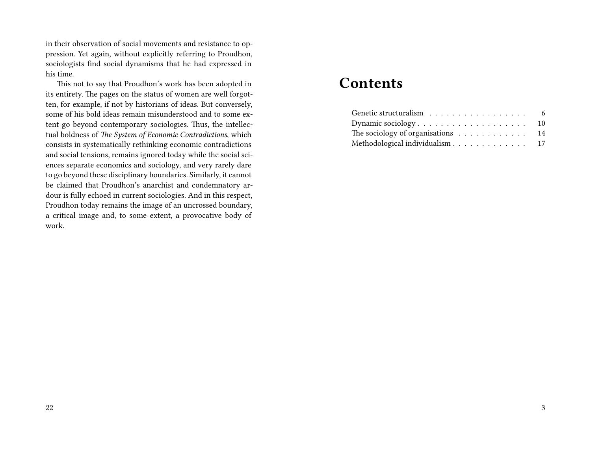in their observation of social movements and resistance to oppression. Yet again, without explicitly referring to Proudhon, sociologists find social dynamisms that he had expressed in his time.

This not to say that Proudhon's work has been adopted in its entirety. The pages on the status of women are well forgotten, for example, if not by historians of ideas. But conversely, some of his bold ideas remain misunderstood and to some extent go beyond contemporary sociologies. Thus, the intellectual boldness of *The System of Economic Contradictions*, which consists in systematically rethinking economic contradictions and social tensions, remains ignored today while the social sciences separate economics and sociology, and very rarely dare to go beyond these disciplinary boundaries. Similarly, it cannot be claimed that Proudhon's anarchist and condemnatory ardour is fully echoed in current sociologies. And in this respect, Proudhon today remains the image of an uncrossed boundary, a critical image and, to some extent, a provocative body of work.

# **Contents**

| The sociology of organisations $\dots \dots \dots \dots \dots$ 14 |  |  |  |  |  |  |  |
|-------------------------------------------------------------------|--|--|--|--|--|--|--|
| Methodological individualism 17                                   |  |  |  |  |  |  |  |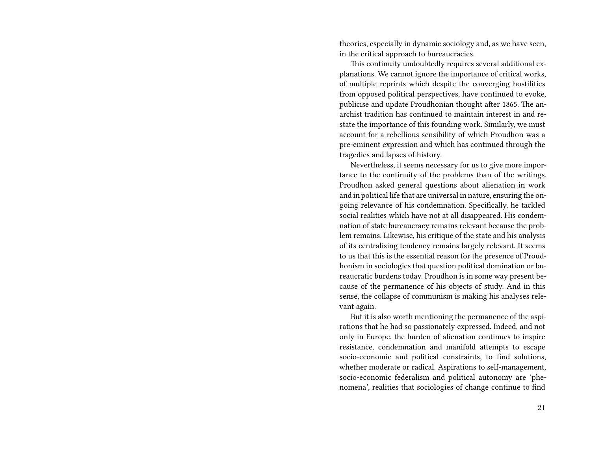theories, especially in dynamic sociology and, as we have seen, in the critical approach to bureaucracies.

This continuity undoubtedly requires several additional explanations. We cannot ignore the importance of critical works, of multiple reprints which despite the converging hostilities from opposed political perspectives, have continued to evoke, publicise and update Proudhonian thought after 1865. The anarchist tradition has continued to maintain interest in and restate the importance of this founding work. Similarly, we must account for a rebellious sensibility of which Proudhon was a pre-eminent expression and which has continued through the tragedies and lapses of history.

Nevertheless, it seems necessary for us to give more importance to the continuity of the problems than of the writings. Proudhon asked general questions about alienation in work and in political life that are universal in nature, ensuring the ongoing relevance of his condemnation. Specifically, he tackled social realities which have not at all disappeared. His condemnation of state bureaucracy remains relevant because the problem remains. Likewise, his critique of the state and his analysis of its centralising tendency remains largely relevant. It seems to us that this is the essential reason for the presence of Proudhonism in sociologies that question political domination or bureaucratic burdens today. Proudhon is in some way present because of the permanence of his objects of study. And in this sense, the collapse of communism is making his analyses relevant again.

But it is also worth mentioning the permanence of the aspirations that he had so passionately expressed. Indeed, and not only in Europe, the burden of alienation continues to inspire resistance, condemnation and manifold attempts to escape socio-economic and political constraints, to find solutions, whether moderate or radical. Aspirations to self-management, socio-economic federalism and political autonomy are 'phenomena', realities that sociologies of change continue to find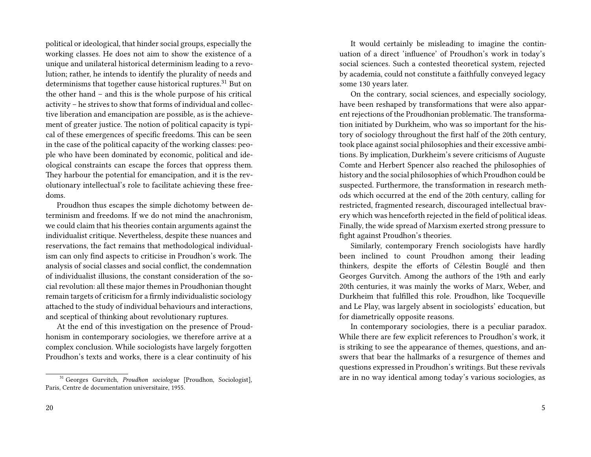political or ideological, that hinder social groups, especially the working classes. He does not aim to show the existence of a unique and unilateral historical determinism leading to a revolution; rather, he intends to identify the plurality of needs and determinisms that together cause historical ruptures.<sup>31</sup> But on the other hand – and this is the whole purpose of his critical activity – he strives to show that forms of individual and collective liberation and emancipation are possible, as is the achievement of greater justice. The notion of political capacity is typical of these emergences of specific freedoms. This can be seen in the case of the political capacity of the working classes: people who have been dominated by economic, political and ideological constraints can escape the forces that oppress them. They harbour the potential for emancipation, and it is the revolutionary intellectual's role to facilitate achieving these freedoms.

Proudhon thus escapes the simple dichotomy between determinism and freedoms. If we do not mind the anachronism, we could claim that his theories contain arguments against the individualist critique. Nevertheless, despite these nuances and reservations, the fact remains that methodological individualism can only find aspects to criticise in Proudhon's work. The analysis of social classes and social conflict, the condemnation of individualist illusions, the constant consideration of the social revolution: all these major themes in Proudhonian thought remain targets of criticism for a firmly individualistic sociology attached to the study of individual behaviours and interactions, and sceptical of thinking about revolutionary ruptures.

At the end of this investigation on the presence of Proudhonism in contemporary sociologies, we therefore arrive at a complex conclusion. While sociologists have largely forgotten Proudhon's texts and works, there is a clear continuity of his

It would certainly be misleading to imagine the continuation of a direct 'influence' of Proudhon's work in today's social sciences. Such a contested theoretical system, rejected by academia, could not constitute a faithfully conveyed legacy some 130 years later.

On the contrary, social sciences, and especially sociology, have been reshaped by transformations that were also apparent rejections of the Proudhonian problematic. The transformation initiated by Durkheim, who was so important for the history of sociology throughout the first half of the 20th century, took place against social philosophies and their excessive ambitions. By implication, Durkheim's severe criticisms of Auguste Comte and Herbert Spencer also reached the philosophies of history and the social philosophies of which Proudhon could be suspected. Furthermore, the transformation in research methods which occurred at the end of the 20th century, calling for restricted, fragmented research, discouraged intellectual bravery which was henceforth rejected in the field of political ideas. Finally, the wide spread of Marxism exerted strong pressure to fight against Proudhon's theories.

Similarly, contemporary French sociologists have hardly been inclined to count Proudhon among their leading thinkers, despite the efforts of Célestin Bouglé and then Georges Gurvitch. Among the authors of the 19th and early 20th centuries, it was mainly the works of Marx, Weber, and Durkheim that fulfilled this role. Proudhon, like Tocqueville and Le Play, was largely absent in sociologists' education, but for diametrically opposite reasons.

In contemporary sociologies, there is a peculiar paradox. While there are few explicit references to Proudhon's work, it is striking to see the appearance of themes, questions, and answers that bear the hallmarks of a resurgence of themes and questions expressed in Proudhon's writings. But these revivals are in no way identical among today's various sociologies, as

<sup>31</sup> Georges Gurvitch, *Proudhon sociologue* [Proudhon, Sociologist], Paris, Centre de documentation universitaire, 1955.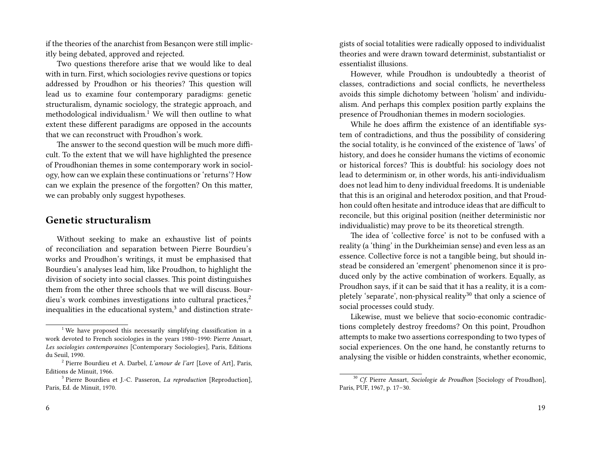if the theories of the anarchist from Besançon were still implicitly being debated, approved and rejected.

Two questions therefore arise that we would like to deal with in turn. First, which sociologies revive questions or topics addressed by Proudhon or his theories? This question will lead us to examine four contemporary paradigms: genetic structuralism, dynamic sociology, the strategic approach, and methodological individualism.<sup>1</sup> We will then outline to what extent these different paradigms are opposed in the accounts that we can reconstruct with Proudhon's work.

The answer to the second question will be much more difficult. To the extent that we will have highlighted the presence of Proudhonian themes in some contemporary work in sociology, how can we explain these continuations or 'returns'? How can we explain the presence of the forgotten? On this matter, we can probably only suggest hypotheses.

### **Genetic structuralism**

Without seeking to make an exhaustive list of points of reconciliation and separation between Pierre Bourdieu's works and Proudhon's writings, it must be emphasised that Bourdieu's analyses lead him, like Proudhon, to highlight the division of society into social classes. This point distinguishes them from the other three schools that we will discuss. Bourdieu's work combines investigations into cultural practices,<sup>2</sup> inequalities in the educational system, $3$  and distinction strategists of social totalities were radically opposed to individualist theories and were drawn toward determinist, substantialist or essentialist illusions.

However, while Proudhon is undoubtedly a theorist of classes, contradictions and social conflicts, he nevertheless avoids this simple dichotomy between 'holism' and individualism. And perhaps this complex position partly explains the presence of Proudhonian themes in modern sociologies.

While he does affirm the existence of an identifiable system of contradictions, and thus the possibility of considering the social totality, is he convinced of the existence of 'laws' of history, and does he consider humans the victims of economic or historical forces? This is doubtful: his sociology does not lead to determinism or, in other words, his anti-individualism does not lead him to deny individual freedoms. It is undeniable that this is an original and heterodox position, and that Proudhon could often hesitate and introduce ideas that are difficult to reconcile, but this original position (neither deterministic nor individualistic) may prove to be its theoretical strength.

The idea of 'collective force' is not to be confused with a reality (a 'thing' in the Durkheimian sense) and even less as an essence. Collective force is not a tangible being, but should instead be considered an 'emergent' phenomenon since it is produced only by the active combination of workers. Equally, as Proudhon says, if it can be said that it has a reality, it is a completely 'separate', non-physical reality<sup>30</sup> that only a science of social processes could study.

Likewise, must we believe that socio-economic contradictions completely destroy freedoms? On this point, Proudhon attempts to make two assertions corresponding to two types of social experiences. On the one hand, he constantly returns to analysing the visible or hidden constraints, whether economic,

<sup>&</sup>lt;sup>1</sup> We have proposed this necessarily simplifying classification in a work devoted to French sociologies in the years 1980–1990: Pierre Ansart, *Les sociologies contemporaines* [Contemporary Sociologies], Paris, Editions du Seuil, 1990.

<sup>2</sup> Pierre Bourdieu et A. Darbel, *L'amour de l'art* [Love of Art], Paris, Editions de Minuit, 1966.

<sup>3</sup> Pierre Bourdieu et J.-C. Passeron, *La reproduction* [Reproduction], Paris, Ed. de Minuit, 1970.

<sup>30</sup> *Cf*. Pierre Ansart, *Sociologie de Proudhon* [Sociology of Proudhon], Paris, PUF, 1967, p. 17–30.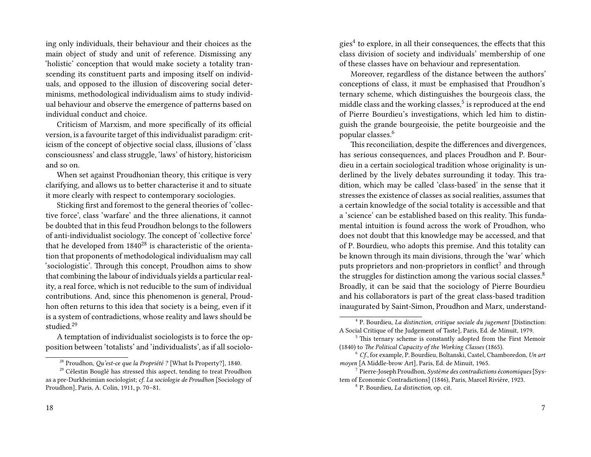ing only individuals, their behaviour and their choices as the main object of study and unit of reference. Dismissing any 'holistic' conception that would make society a totality transcending its constituent parts and imposing itself on individuals, and opposed to the illusion of discovering social determinisms, methodological individualism aims to study individual behaviour and observe the emergence of patterns based on individual conduct and choice.

Criticism of Marxism, and more specifically of its official version, is a favourite target of this individualist paradigm: criticism of the concept of objective social class, illusions of 'class consciousness' and class struggle, 'laws' of history, historicism and so on.

When set against Proudhonian theory, this critique is very clarifying, and allows us to better characterise it and to situate it more clearly with respect to contemporary sociologies.

Sticking first and foremost to the general theories of 'collective force', class 'warfare' and the three alienations, it cannot be doubted that in this feud Proudhon belongs to the followers of anti-individualist sociology. The concept of 'collective force' that he developed from  $1840^{28}$  is characteristic of the orientation that proponents of methodological individualism may call 'sociologistic'. Through this concept, Proudhon aims to show that combining the labour of individuals yields a particular reality, a real force, which is not reducible to the sum of individual contributions. And, since this phenomenon is general, Proudhon often returns to this idea that society is a being, even if it is a system of contradictions, whose reality and laws should be studied.<sup>29</sup>

A temptation of individualist sociologists is to force the opposition between 'totalists' and 'individualists', as if all sociolo-

gies<sup>4</sup> to explore, in all their consequences, the effects that this class division of society and individuals' membership of one of these classes have on behaviour and representation.

Moreover, regardless of the distance between the authors' conceptions of class, it must be emphasised that Proudhon's ternary scheme, which distinguishes the bourgeois class, the middle class and the working classes, $^5$  is reproduced at the end of Pierre Bourdieu's investigations, which led him to distinguish the grande bourgeoisie, the petite bourgeoisie and the popular classes.<sup>6</sup>

This reconciliation, despite the differences and divergences, has serious consequences, and places Proudhon and P. Bourdieu in a certain sociological tradition whose originality is underlined by the lively debates surrounding it today. This tradition, which may be called 'class-based' in the sense that it stresses the existence of classes as social realities, assumes that a certain knowledge of the social totality is accessible and that a 'science' can be established based on this reality. This fundamental intuition is found across the work of Proudhon, who does not doubt that this knowledge may be accessed, and that of P. Bourdieu, who adopts this premise. And this totality can be known through its main divisions, through the 'war' which puts proprietors and non-proprietors in conflict $^7$  and through the struggles for distinction among the various social classes.<sup>8</sup> Broadly, it can be said that the sociology of Pierre Bourdieu and his collaborators is part of the great class-based tradition inaugurated by Saint-Simon, Proudhon and Marx, understand-

<sup>28</sup> Proudhon, *Qu'est-ce que la Propriété ?* [What Is Property?], 1840.

 $29$  Célestin Bouglé has stressed this aspect, tending to treat Proudhon as a pre-Durkheimian sociologist; *cf*. *La sociologie de Proudhon* [Sociology of Proudhon], Paris, A. Colin, 1911, p. 70–81.

<sup>4</sup> P. Bourdieu, *La distinction, critique sociale du jugement* [Distinction: A Social Critique of the Judgement of Taste], Paris, Ed. de Minuit, 1979.

<sup>&</sup>lt;sup>5</sup> This ternary scheme is constantly adopted from the First Memoir (1840) to *The Political Capacity of the Working Classes* (1865).

<sup>6</sup> *Cf*., for example, P. Bourdieu, Boltanski, Castel, Chamboredon, *Un art moyen* [A Middle-brow Art], Paris, Ed. de Minuit, 1965.

<sup>7</sup> Pierre-Joseph Proudhon, *Système des contradictions économiques* [System of Economic Contradictions] (1846), Paris, Marcel Rivière, 1923.

<sup>8</sup> P. Bourdieu, *La distinction*, op. cit.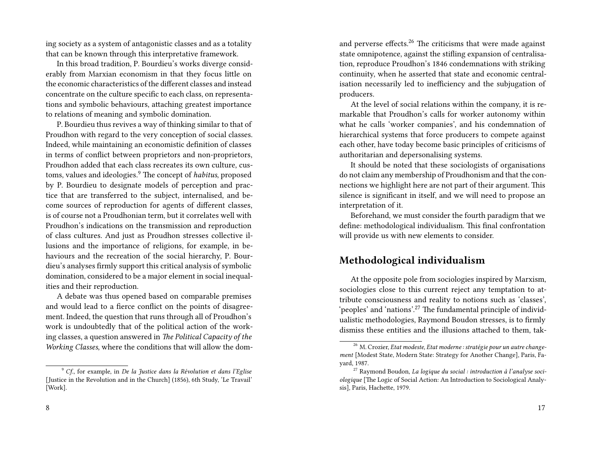ing society as a system of antagonistic classes and as a totality that can be known through this interpretative framework.

In this broad tradition, P. Bourdieu's works diverge considerably from Marxian economism in that they focus little on the economic characteristics of the different classes and instead concentrate on the culture specific to each class, on representations and symbolic behaviours, attaching greatest importance to relations of meaning and symbolic domination.

P. Bourdieu thus revives a way of thinking similar to that of Proudhon with regard to the very conception of social classes. Indeed, while maintaining an economistic definition of classes in terms of conflict between proprietors and non-proprietors, Proudhon added that each class recreates its own culture, customs, values and ideologies.<sup>9</sup> The concept of *habitus*, proposed by P. Bourdieu to designate models of perception and practice that are transferred to the subject, internalised, and become sources of reproduction for agents of different classes, is of course not a Proudhonian term, but it correlates well with Proudhon's indications on the transmission and reproduction of class cultures. And just as Proudhon stresses collective illusions and the importance of religions, for example, in behaviours and the recreation of the social hierarchy, P. Bourdieu's analyses firmly support this critical analysis of symbolic domination, considered to be a major element in social inequalities and their reproduction.

A debate was thus opened based on comparable premises and would lead to a fierce conflict on the points of disagreement. Indeed, the question that runs through all of Proudhon's work is undoubtedly that of the political action of the working classes, a question answered in *The Political Capacity of the Working Classes*, where the conditions that will allow the domand perverse effects.<sup>26</sup> The criticisms that were made against state omnipotence, against the stifling expansion of centralisation, reproduce Proudhon's 1846 condemnations with striking continuity, when he asserted that state and economic centralisation necessarily led to inefficiency and the subjugation of producers.

At the level of social relations within the company, it is remarkable that Proudhon's calls for worker autonomy within what he calls 'worker companies', and his condemnation of hierarchical systems that force producers to compete against each other, have today become basic principles of criticisms of authoritarian and depersonalising systems.

It should be noted that these sociologists of organisations do not claim any membership of Proudhonism and that the connections we highlight here are not part of their argument. This silence is significant in itself, and we will need to propose an interpretation of it.

Beforehand, we must consider the fourth paradigm that we define: methodological individualism. This final confrontation will provide us with new elements to consider.

## **Methodological individualism**

At the opposite pole from sociologies inspired by Marxism, sociologies close to this current reject any temptation to attribute consciousness and reality to notions such as 'classes', 'peoples' and 'nations'.<sup>27</sup> The fundamental principle of individualistic methodologies, Raymond Boudon stresses, is to firmly dismiss these entities and the illusions attached to them, tak-

<sup>9</sup> *Cf*., for example, in *De la Justice dans la Révolution et dans l'Eglise* [Justice in the Revolution and in the Church] (1856), 6th Study, 'Le Travail' [Work].

<sup>26</sup> M. Crozier, *Etat modeste, Etat moderne : stratégie pour un autre changement* [Modest State, Modern State: Strategy for Another Change], Paris, Fayard, 1987.

<sup>27</sup> Raymond Boudon, *La logique du social : introduction à l'analyse sociologique* [The Logic of Social Action: An Introduction to Sociological Analysis], Paris, Hachette, 1979.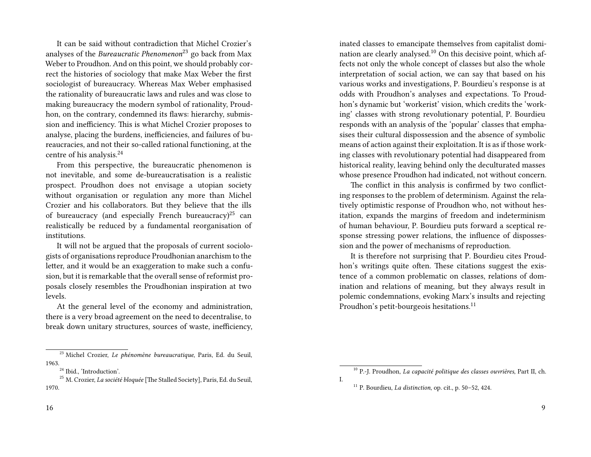It can be said without contradiction that Michel Crozier's analyses of the *Bureaucratic Phenomenon*<sup>23</sup> go back from Max Weber to Proudhon. And on this point, we should probably correct the histories of sociology that make Max Weber the first sociologist of bureaucracy. Whereas Max Weber emphasised the rationality of bureaucratic laws and rules and was close to making bureaucracy the modern symbol of rationality, Proudhon, on the contrary, condemned its flaws: hierarchy, submission and inefficiency. This is what Michel Crozier proposes to analyse, placing the burdens, inefficiencies, and failures of bureaucracies, and not their so-called rational functioning, at the centre of his analysis.<sup>24</sup>

From this perspective, the bureaucratic phenomenon is not inevitable, and some de-bureaucratisation is a realistic prospect. Proudhon does not envisage a utopian society without organisation or regulation any more than Michel Crozier and his collaborators. But they believe that the ills of bureaucracy (and especially French bureaucracy)<sup>25</sup> can realistically be reduced by a fundamental reorganisation of institutions.

It will not be argued that the proposals of current sociologists of organisations reproduce Proudhonian anarchism to the letter, and it would be an exaggeration to make such a confusion, but it is remarkable that the overall sense of reformist proposals closely resembles the Proudhonian inspiration at two levels.

At the general level of the economy and administration, there is a very broad agreement on the need to decentralise, to break down unitary structures, sources of waste, inefficiency,

<sup>25</sup> M. Crozier, *La société bloquée* [The Stalled Society], Paris, Ed. du Seuil, 1970.

inated classes to emancipate themselves from capitalist domination are clearly analysed.<sup>10</sup> On this decisive point, which affects not only the whole concept of classes but also the whole interpretation of social action, we can say that based on his various works and investigations, P. Bourdieu's response is at odds with Proudhon's analyses and expectations. To Proudhon's dynamic but 'workerist' vision, which credits the 'working' classes with strong revolutionary potential, P. Bourdieu responds with an analysis of the 'popular' classes that emphasises their cultural dispossession and the absence of symbolic means of action against their exploitation. It is as if those working classes with revolutionary potential had disappeared from historical reality, leaving behind only the deculturated masses whose presence Proudhon had indicated, not without concern.

The conflict in this analysis is confirmed by two conflicting responses to the problem of determinism. Against the relatively optimistic response of Proudhon who, not without hesitation, expands the margins of freedom and indeterminism of human behaviour, P. Bourdieu puts forward a sceptical response stressing power relations, the influence of dispossession and the power of mechanisms of reproduction.

It is therefore not surprising that P. Bourdieu cites Proudhon's writings quite often. These citations suggest the existence of a common problematic on classes, relations of domination and relations of meaning, but they always result in polemic condemnations, evoking Marx's insults and rejecting Proudhon's petit-bourgeois hesitations.<sup>11</sup>

<sup>23</sup> Michel Crozier, *Le phénomène bureaucratique*, Paris, Ed. du Seuil, 1963.

<sup>&</sup>lt;sup>24</sup> Ibid., 'Introduction'.

<sup>10</sup> P.-J. Proudhon, *La capacité politique des classes ouvrières*, Part II, ch. I.

<sup>11</sup> P. Bourdieu, *La distinction*, op. cit., p. 50–52, 424.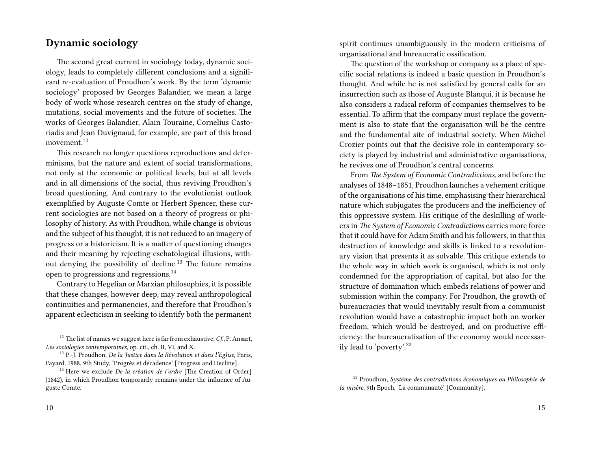#### **Dynamic sociology**

The second great current in sociology today, dynamic sociology, leads to completely different conclusions and a significant re-evaluation of Proudhon's work. By the term 'dynamic sociology' proposed by Georges Balandier, we mean a large body of work whose research centres on the study of change, mutations, social movements and the future of societies. The works of Georges Balandier, Alain Touraine, Cornelius Castoriadis and Jean Duvignaud, for example, are part of this broad movement.<sup>12</sup>

This research no longer questions reproductions and determinisms, but the nature and extent of social transformations, not only at the economic or political levels, but at all levels and in all dimensions of the social, thus reviving Proudhon's broad questioning. And contrary to the evolutionist outlook exemplified by Auguste Comte or Herbert Spencer, these current sociologies are not based on a theory of progress or philosophy of history. As with Proudhon, while change is obvious and the subject of his thought, it is not reduced to an imagery of progress or a historicism. It is a matter of questioning changes and their meaning by rejecting eschatological illusions, without denying the possibility of decline.<sup>13</sup> The future remains open to progressions and regressions.<sup>14</sup>

Contrary to Hegelian or Marxian philosophies, it is possible that these changes, however deep, may reveal anthropological continuities and permanencies, and therefore that Proudhon's apparent eclecticism in seeking to identify both the permanent spirit continues unambiguously in the modern criticisms of organisational and bureaucratic ossification.

The question of the workshop or company as a place of specific social relations is indeed a basic question in Proudhon's thought. And while he is not satisfied by general calls for an insurrection such as those of Auguste Blanqui, it is because he also considers a radical reform of companies themselves to be essential. To affirm that the company must replace the government is also to state that the organisation will be the centre and the fundamental site of industrial society. When Michel Crozier points out that the decisive role in contemporary society is played by industrial and administrative organisations, he revives one of Proudhon's central concerns.

From *The System of Economic Contradictions*, and before the analyses of 1848–1851, Proudhon launches a vehement critique of the organisations of his time, emphasising their hierarchical nature which subjugates the producers and the inefficiency of this oppressive system. His critique of the deskilling of workers in *The System of Economic Contradictions* carries more force that it could have for Adam Smith and his followers, in that this destruction of knowledge and skills is linked to a revolutionary vision that presents it as solvable. This critique extends to the whole way in which work is organised, which is not only condemned for the appropriation of capital, but also for the structure of domination which embeds relations of power and submission within the company. For Proudhon, the growth of bureaucracies that would inevitably result from a communist revolution would have a catastrophic impact both on worker freedom, which would be destroyed, and on productive efficiency: the bureaucratisation of the economy would necessarily lead to 'poverty'.<sup>22</sup>

<sup>12</sup> The list of names we suggest here is far from exhaustive. *Cf*., P. Ansart, *Les sociologies contemporaines*, op. cit., ch. II, VI, and X.

<sup>13</sup> P.-J. Proudhon, *De la Justice dans la Révolution et dans l'Eglise*, Paris, Fayard, 1988, 9th Study, 'Progrès et décadence' [Progress and Decline].

<sup>14</sup> Here we exclude *De la création de l'ordre* [The Creation of Order] (1842), in which Proudhon temporarily remains under the influence of Auguste Comte.

<sup>22</sup> Proudhon, *Système des contradictions économiques ou Philosophie de la misère*, 9th Epoch, 'La communauté' [Community].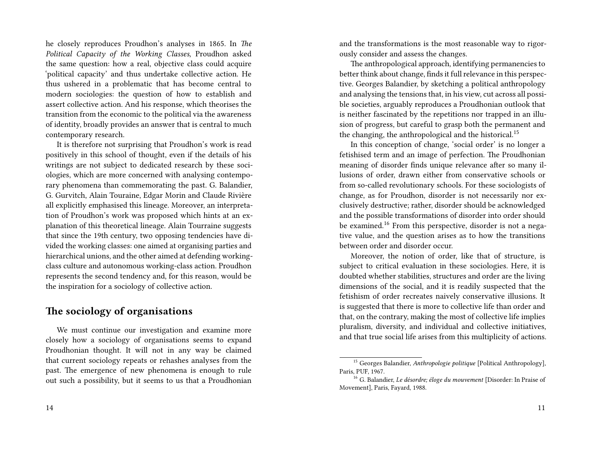he closely reproduces Proudhon's analyses in 1865. In *The Political Capacity of the Working Classes*, Proudhon asked the same question: how a real, objective class could acquire 'political capacity' and thus undertake collective action. He thus ushered in a problematic that has become central to modern sociologies: the question of how to establish and assert collective action. And his response, which theorises the transition from the economic to the political via the awareness of identity, broadly provides an answer that is central to much contemporary research.

It is therefore not surprising that Proudhon's work is read positively in this school of thought, even if the details of his writings are not subject to dedicated research by these sociologies, which are more concerned with analysing contemporary phenomena than commemorating the past. G. Balandier, G. Gurvitch, Alain Touraine, Edgar Morin and Claude Rivière all explicitly emphasised this lineage. Moreover, an interpretation of Proudhon's work was proposed which hints at an explanation of this theoretical lineage. Alain Tourraine suggests that since the 19th century, two opposing tendencies have divided the working classes: one aimed at organising parties and hierarchical unions, and the other aimed at defending workingclass culture and autonomous working-class action. Proudhon represents the second tendency and, for this reason, would be the inspiration for a sociology of collective action.

### **The sociology of organisations**

We must continue our investigation and examine more closely how a sociology of organisations seems to expand Proudhonian thought. It will not in any way be claimed that current sociology repeats or rehashes analyses from the past. The emergence of new phenomena is enough to rule out such a possibility, but it seems to us that a Proudhonian and the transformations is the most reasonable way to rigorously consider and assess the changes.

The anthropological approach, identifying permanencies to better think about change, finds it full relevance in this perspective. Georges Balandier, by sketching a political anthropology and analysing the tensions that, in his view, cut across all possible societies, arguably reproduces a Proudhonian outlook that is neither fascinated by the repetitions nor trapped in an illusion of progress, but careful to grasp both the permanent and the changing, the anthropological and the historical.<sup>15</sup>

In this conception of change, 'social order' is no longer a fetishised term and an image of perfection. The Proudhonian meaning of disorder finds unique relevance after so many illusions of order, drawn either from conservative schools or from so-called revolutionary schools. For these sociologists of change, as for Proudhon, disorder is not necessarily nor exclusively destructive; rather, disorder should be acknowledged and the possible transformations of disorder into order should be examined.<sup>16</sup> From this perspective, disorder is not a negative value, and the question arises as to how the transitions between order and disorder occur.

Moreover, the notion of order, like that of structure, is subject to critical evaluation in these sociologies. Here, it is doubted whether stabilities, structures and order are the living dimensions of the social, and it is readily suspected that the fetishism of order recreates naively conservative illusions. It is suggested that there is more to collective life than order and that, on the contrary, making the most of collective life implies pluralism, diversity, and individual and collective initiatives, and that true social life arises from this multiplicity of actions.

<sup>15</sup> Georges Balandier, *Anthropologie politique* [Political Anthropology], Paris, PUF, 1967.

<sup>16</sup> G. Balandier, *Le désordre; éloge du mouvement* [Disorder: In Praise of Movement], Paris, Fayard, 1988.